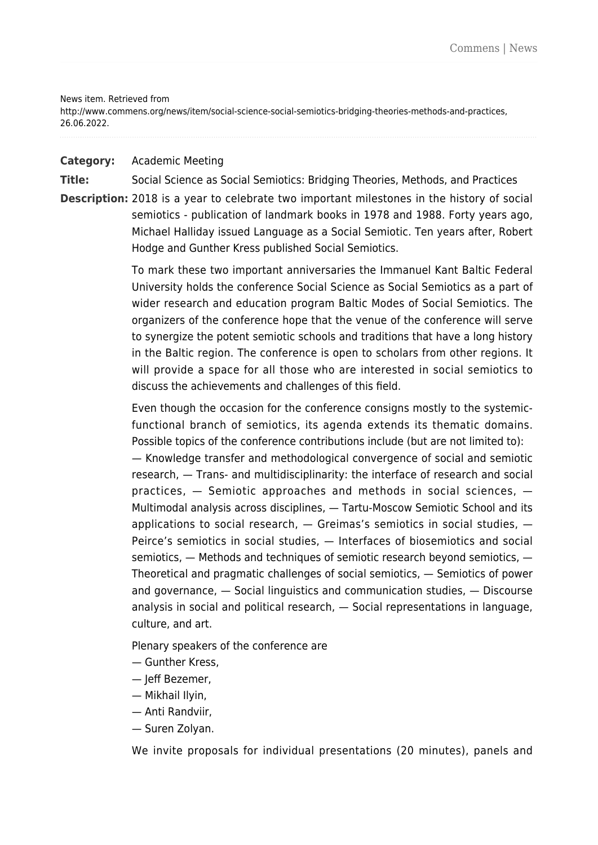News item. Retrieved from

http://www.commens.org/news/item/social-science-social-semiotics-bridging-theories-methods-and-practices, 26.06.2022.

## **Category:** Academic Meeting

**Title:** Social Science as Social Semiotics: Bridging Theories, Methods, and Practices

**Description:** 2018 is a year to celebrate two important milestones in the history of social semiotics - publication of landmark books in 1978 and 1988. Forty years ago, Michael Halliday issued Language as a Social Semiotic. Ten years after, Robert Hodge and Gunther Kress published Social Semiotics.

> To mark these two important anniversaries the Immanuel Kant Baltic Federal University holds the conference Social Science as Social Semiotics as a part of wider research and education program Baltic Modes of Social Semiotics. The organizers of the conference hope that the venue of the conference will serve to synergize the potent semiotic schools and traditions that have a long history in the Baltic region. The conference is open to scholars from other regions. It will provide a space for all those who are interested in social semiotics to discuss the achievements and challenges of this field.

> Even though the occasion for the conference consigns mostly to the systemicfunctional branch of semiotics, its agenda extends its thematic domains. Possible topics of the conference contributions include (but are not limited to): — Knowledge transfer and methodological convergence of social and semiotic research, — Trans- and multidisciplinarity: the interface of research and social practices, — Semiotic approaches and methods in social sciences, — Multimodal analysis across disciplines, — Tartu-Moscow Semiotic School and its applications to social research,  $-$  Greimas's semiotics in social studies,  $-$ Peirce's semiotics in social studies, — Interfaces of biosemiotics and social semiotics, — Methods and techniques of semiotic research beyond semiotics, — Theoretical and pragmatic challenges of social semiotics, — Semiotics of power and governance, — Social linguistics and communication studies, — Discourse analysis in social and political research, — Social representations in language, culture, and art.

Plenary speakers of the conference are

- Gunther Kress,
- Jeff Bezemer,
- Mikhail Ilyin,
- Anti Randviir,
- Suren Zolyan.

We invite proposals for individual presentations (20 minutes), panels and